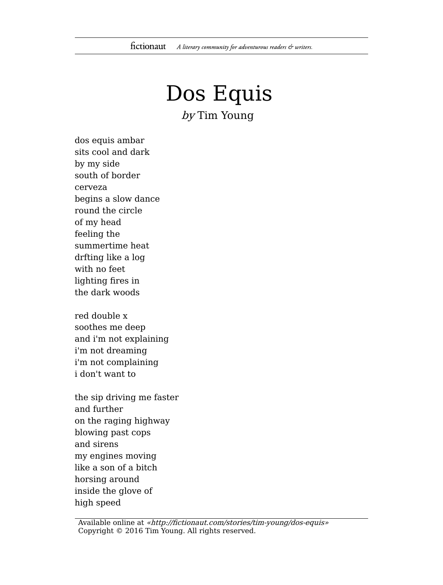## Dos Equis by Tim Young

dos equis ambar sits cool and dark by my side south of border cerveza begins a slow dance round the circle of my head feeling the summertime heat drfting like a log with no feet lighting fires in the dark woods

red double x soothes me deep and i'm not explaining i'm not dreaming i'm not complaining i don't want to

the sip driving me faster and further on the raging highway blowing past cops and sirens my engines moving like a son of a bitch horsing around inside the glove of high speed

Available online at «http://fictionaut.com/stories/tim-young/dos-equis» Copyright © 2016 Tim Young. All rights reserved.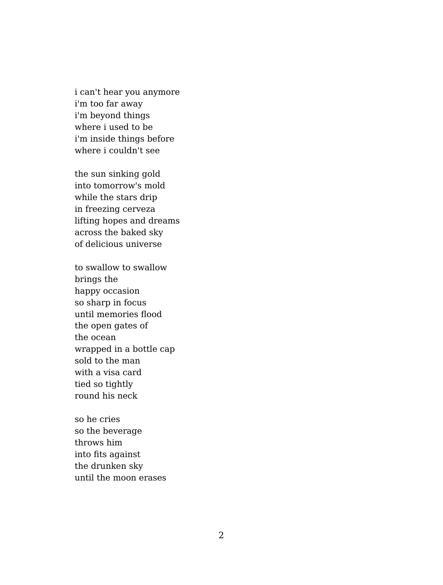i can't hear you anymore i'm too far away i'm beyond things where i used to be i'm inside things before where i couldn't see

the sun sinking gold into tomorrow's mold while the stars drip in freezing cerveza lifting hopes and dreams across the baked sky of delicious universe

to swallow to swallow brings the happy occasion so sharp in focus until memories flood the open gates of the ocean wrapped in a bottle cap sold to the man with a visa card tied so tightly round his neck

so he cries so the beverage throws him into fits against the drunken sky until the moon erases